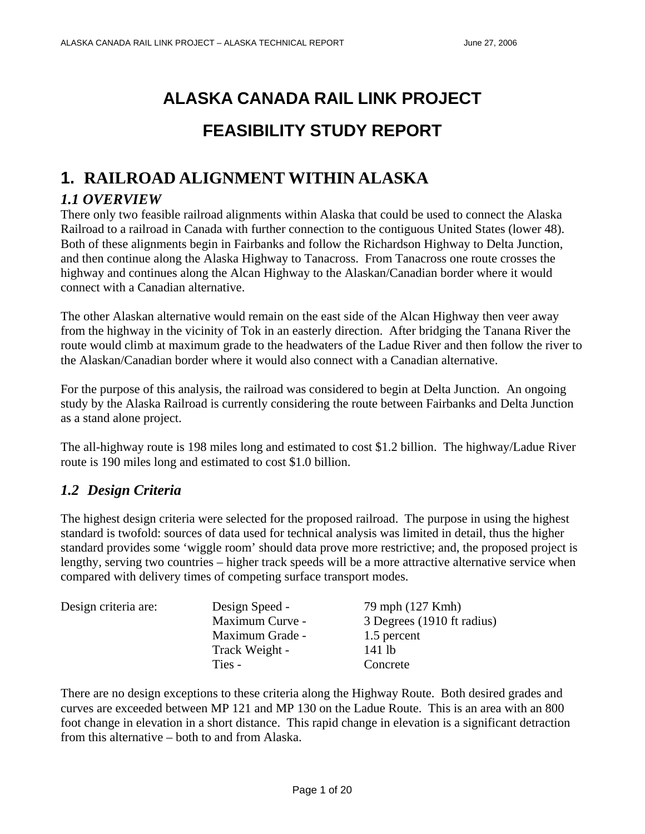# **ALASKA CANADA RAIL LINK PROJECT FEASIBILITY STUDY REPORT**

# **1. RAILROAD ALIGNMENT WITHIN ALASKA**

# *1.1 OVERVIEW*

There only two feasible railroad alignments within Alaska that could be used to connect the Alaska Railroad to a railroad in Canada with further connection to the contiguous United States (lower 48). Both of these alignments begin in Fairbanks and follow the Richardson Highway to Delta Junction, and then continue along the Alaska Highway to Tanacross. From Tanacross one route crosses the highway and continues along the Alcan Highway to the Alaskan/Canadian border where it would connect with a Canadian alternative.

The other Alaskan alternative would remain on the east side of the Alcan Highway then veer away from the highway in the vicinity of Tok in an easterly direction. After bridging the Tanana River the route would climb at maximum grade to the headwaters of the Ladue River and then follow the river to the Alaskan/Canadian border where it would also connect with a Canadian alternative.

For the purpose of this analysis, the railroad was considered to begin at Delta Junction. An ongoing study by the Alaska Railroad is currently considering the route between Fairbanks and Delta Junction as a stand alone project.

The all-highway route is 198 miles long and estimated to cost \$1.2 billion. The highway/Ladue River route is 190 miles long and estimated to cost \$1.0 billion.

# *1.2 Design Criteria*

The highest design criteria were selected for the proposed railroad. The purpose in using the highest standard is twofold: sources of data used for technical analysis was limited in detail, thus the higher standard provides some 'wiggle room' should data prove more restrictive; and, the proposed project is lengthy, serving two countries – higher track speeds will be a more attractive alternative service when compared with delivery times of competing surface transport modes.

| Design criteria are: | Design Speed -  | 79 mph (127 Kmh)           |
|----------------------|-----------------|----------------------------|
|                      | Maximum Curve - | 3 Degrees (1910 ft radius) |
|                      | Maximum Grade - | 1.5 percent                |
|                      | Track Weight -  | 141 lb                     |
|                      | Ties -          | Concrete                   |

There are no design exceptions to these criteria along the Highway Route. Both desired grades and curves are exceeded between MP 121 and MP 130 on the Ladue Route. This is an area with an 800 foot change in elevation in a short distance. This rapid change in elevation is a significant detraction from this alternative – both to and from Alaska.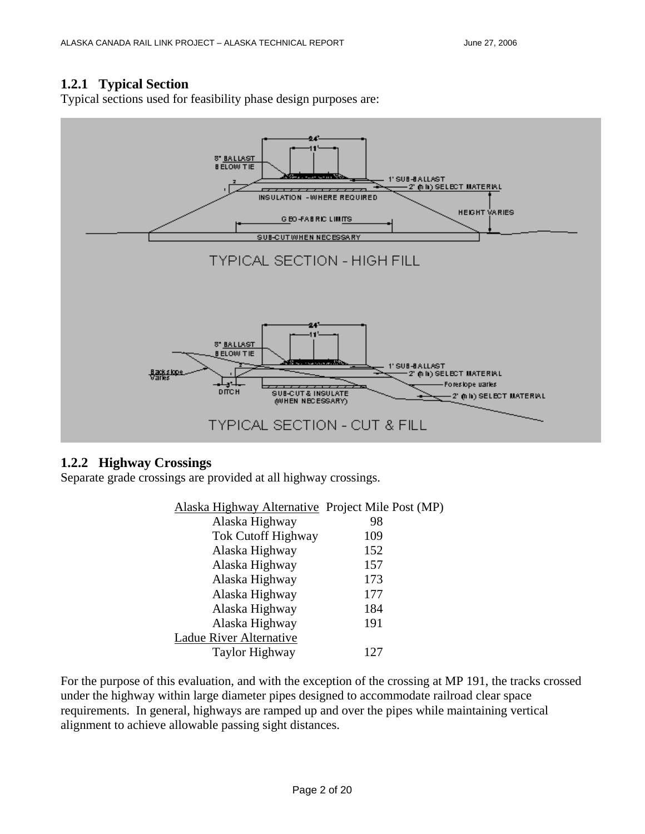#### **1.2.1 Typical Section**

Typical sections used for feasibility phase design purposes are:



#### **1.2.2 Highway Crossings**

Separate grade crossings are provided at all highway crossings.

| Alaska Highway Alternative Project Mile Post (MP) |     |
|---------------------------------------------------|-----|
| Alaska Highway                                    | 98  |
| <b>Tok Cutoff Highway</b>                         | 109 |
| Alaska Highway                                    | 152 |
| Alaska Highway                                    | 157 |
| Alaska Highway                                    | 173 |
| Alaska Highway                                    | 177 |
| Alaska Highway                                    | 184 |
| Alaska Highway                                    | 191 |
| Ladue River Alternative                           |     |
| Taylor Highway                                    | 127 |

For the purpose of this evaluation, and with the exception of the crossing at MP 191, the tracks crossed under the highway within large diameter pipes designed to accommodate railroad clear space requirements. In general, highways are ramped up and over the pipes while maintaining vertical alignment to achieve allowable passing sight distances.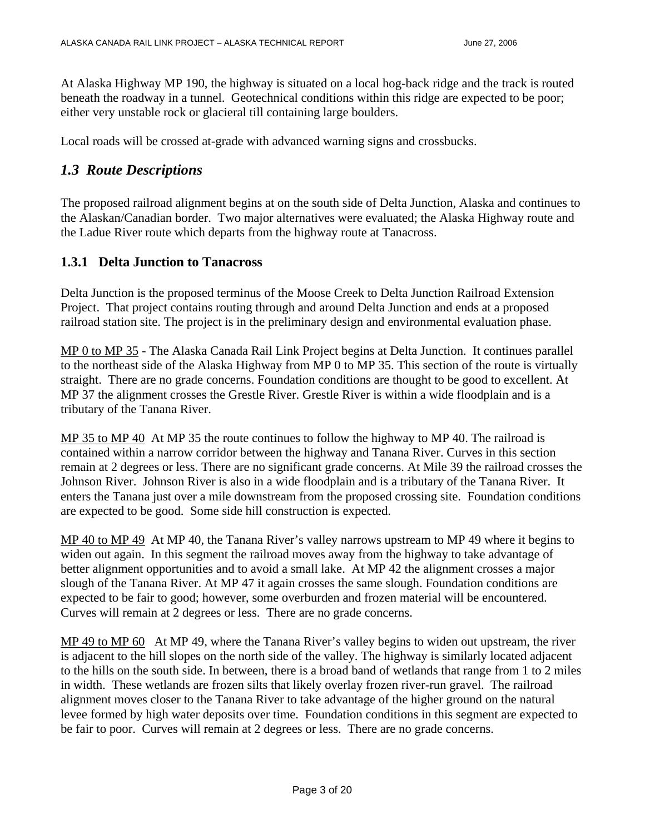At Alaska Highway MP 190, the highway is situated on a local hog-back ridge and the track is routed beneath the roadway in a tunnel. Geotechnical conditions within this ridge are expected to be poor; either very unstable rock or glacieral till containing large boulders.

Local roads will be crossed at-grade with advanced warning signs and crossbucks.

## *1.3 Route Descriptions*

The proposed railroad alignment begins at on the south side of Delta Junction, Alaska and continues to the Alaskan/Canadian border. Two major alternatives were evaluated; the Alaska Highway route and the Ladue River route which departs from the highway route at Tanacross.

#### **1.3.1 Delta Junction to Tanacross**

Delta Junction is the proposed terminus of the Moose Creek to Delta Junction Railroad Extension Project. That project contains routing through and around Delta Junction and ends at a proposed railroad station site. The project is in the preliminary design and environmental evaluation phase.

MP 0 to MP 35 - The Alaska Canada Rail Link Project begins at Delta Junction. It continues parallel to the northeast side of the Alaska Highway from MP 0 to MP 35. This section of the route is virtually straight. There are no grade concerns. Foundation conditions are thought to be good to excellent. At MP 37 the alignment crosses the Grestle River. Grestle River is within a wide floodplain and is a tributary of the Tanana River.

MP 35 to MP 40 At MP 35 the route continues to follow the highway to MP 40. The railroad is contained within a narrow corridor between the highway and Tanana River. Curves in this section remain at 2 degrees or less. There are no significant grade concerns. At Mile 39 the railroad crosses the Johnson River. Johnson River is also in a wide floodplain and is a tributary of the Tanana River. It enters the Tanana just over a mile downstream from the proposed crossing site. Foundation conditions are expected to be good. Some side hill construction is expected.

MP 40 to MP 49 At MP 40, the Tanana River's valley narrows upstream to MP 49 where it begins to widen out again. In this segment the railroad moves away from the highway to take advantage of better alignment opportunities and to avoid a small lake. At MP 42 the alignment crosses a major slough of the Tanana River. At MP 47 it again crosses the same slough. Foundation conditions are expected to be fair to good; however, some overburden and frozen material will be encountered. Curves will remain at 2 degrees or less. There are no grade concerns.

MP 49 to MP 60 At MP 49, where the Tanana River's valley begins to widen out upstream, the river is adjacent to the hill slopes on the north side of the valley. The highway is similarly located adjacent to the hills on the south side. In between, there is a broad band of wetlands that range from 1 to 2 miles in width. These wetlands are frozen silts that likely overlay frozen river-run gravel. The railroad alignment moves closer to the Tanana River to take advantage of the higher ground on the natural levee formed by high water deposits over time. Foundation conditions in this segment are expected to be fair to poor. Curves will remain at 2 degrees or less. There are no grade concerns.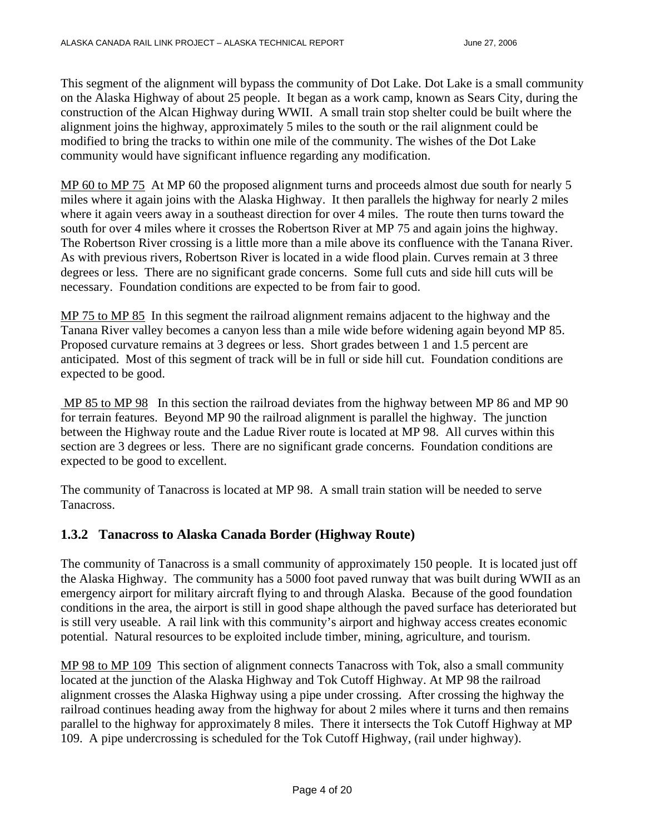This segment of the alignment will bypass the community of Dot Lake. Dot Lake is a small community on the Alaska Highway of about 25 people. It began as a work camp, known as Sears City, during the construction of the Alcan Highway during WWII. A small train stop shelter could be built where the alignment joins the highway, approximately 5 miles to the south or the rail alignment could be modified to bring the tracks to within one mile of the community. The wishes of the Dot Lake community would have significant influence regarding any modification.

MP 60 to MP 75 At MP 60 the proposed alignment turns and proceeds almost due south for nearly 5 miles where it again joins with the Alaska Highway. It then parallels the highway for nearly 2 miles where it again veers away in a southeast direction for over 4 miles. The route then turns toward the south for over 4 miles where it crosses the Robertson River at MP 75 and again joins the highway. The Robertson River crossing is a little more than a mile above its confluence with the Tanana River. As with previous rivers, Robertson River is located in a wide flood plain. Curves remain at 3 three degrees or less. There are no significant grade concerns. Some full cuts and side hill cuts will be necessary. Foundation conditions are expected to be from fair to good.

MP 75 to MP 85 In this segment the railroad alignment remains adjacent to the highway and the Tanana River valley becomes a canyon less than a mile wide before widening again beyond MP 85. Proposed curvature remains at 3 degrees or less. Short grades between 1 and 1.5 percent are anticipated. Most of this segment of track will be in full or side hill cut. Foundation conditions are expected to be good.

 MP 85 to MP 98 In this section the railroad deviates from the highway between MP 86 and MP 90 for terrain features. Beyond MP 90 the railroad alignment is parallel the highway. The junction between the Highway route and the Ladue River route is located at MP 98. All curves within this section are 3 degrees or less. There are no significant grade concerns. Foundation conditions are expected to be good to excellent.

The community of Tanacross is located at MP 98. A small train station will be needed to serve Tanacross.

## **1.3.2 Tanacross to Alaska Canada Border (Highway Route)**

The community of Tanacross is a small community of approximately 150 people. It is located just off the Alaska Highway. The community has a 5000 foot paved runway that was built during WWII as an emergency airport for military aircraft flying to and through Alaska. Because of the good foundation conditions in the area, the airport is still in good shape although the paved surface has deteriorated but is still very useable. A rail link with this community's airport and highway access creates economic potential. Natural resources to be exploited include timber, mining, agriculture, and tourism.

MP 98 to MP 109 This section of alignment connects Tanacross with Tok, also a small community located at the junction of the Alaska Highway and Tok Cutoff Highway. At MP 98 the railroad alignment crosses the Alaska Highway using a pipe under crossing. After crossing the highway the railroad continues heading away from the highway for about 2 miles where it turns and then remains parallel to the highway for approximately 8 miles. There it intersects the Tok Cutoff Highway at MP 109. A pipe undercrossing is scheduled for the Tok Cutoff Highway, (rail under highway).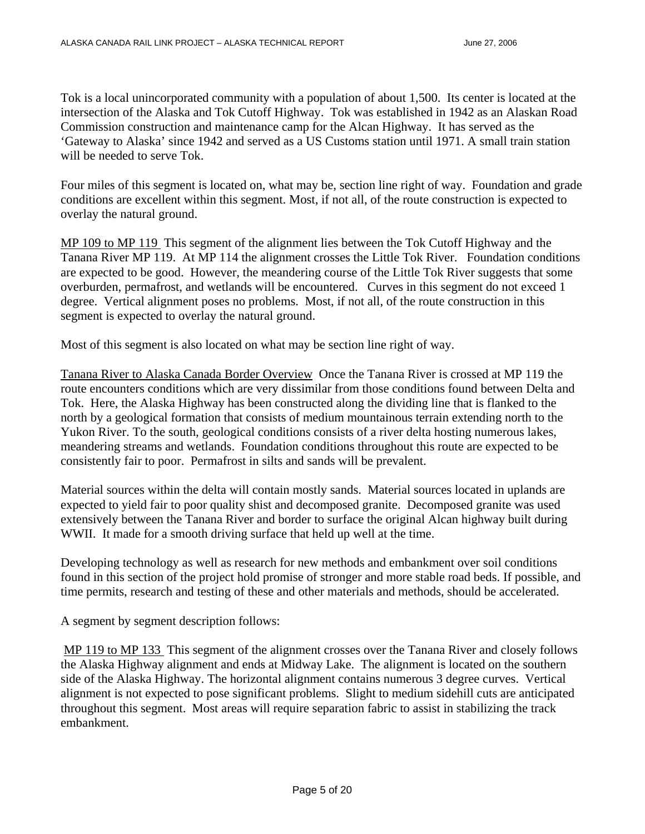Tok is a local unincorporated community with a population of about 1,500. Its center is located at the intersection of the Alaska and Tok Cutoff Highway. Tok was established in 1942 as an Alaskan Road Commission construction and maintenance camp for the Alcan Highway. It has served as the 'Gateway to Alaska' since 1942 and served as a US Customs station until 1971. A small train station will be needed to serve Tok.

Four miles of this segment is located on, what may be, section line right of way. Foundation and grade conditions are excellent within this segment. Most, if not all, of the route construction is expected to overlay the natural ground.

MP 109 to MP 119 This segment of the alignment lies between the Tok Cutoff Highway and the Tanana River MP 119. At MP 114 the alignment crosses the Little Tok River. Foundation conditions are expected to be good. However, the meandering course of the Little Tok River suggests that some overburden, permafrost, and wetlands will be encountered. Curves in this segment do not exceed 1 degree. Vertical alignment poses no problems. Most, if not all, of the route construction in this segment is expected to overlay the natural ground.

Most of this segment is also located on what may be section line right of way.

Tanana River to Alaska Canada Border Overview Once the Tanana River is crossed at MP 119 the route encounters conditions which are very dissimilar from those conditions found between Delta and Tok. Here, the Alaska Highway has been constructed along the dividing line that is flanked to the north by a geological formation that consists of medium mountainous terrain extending north to the Yukon River. To the south, geological conditions consists of a river delta hosting numerous lakes, meandering streams and wetlands. Foundation conditions throughout this route are expected to be consistently fair to poor. Permafrost in silts and sands will be prevalent.

Material sources within the delta will contain mostly sands. Material sources located in uplands are expected to yield fair to poor quality shist and decomposed granite. Decomposed granite was used extensively between the Tanana River and border to surface the original Alcan highway built during WWII. It made for a smooth driving surface that held up well at the time.

Developing technology as well as research for new methods and embankment over soil conditions found in this section of the project hold promise of stronger and more stable road beds. If possible, and time permits, research and testing of these and other materials and methods, should be accelerated.

A segment by segment description follows:

 MP 119 to MP 133 This segment of the alignment crosses over the Tanana River and closely follows the Alaska Highway alignment and ends at Midway Lake. The alignment is located on the southern side of the Alaska Highway. The horizontal alignment contains numerous 3 degree curves. Vertical alignment is not expected to pose significant problems. Slight to medium sidehill cuts are anticipated throughout this segment. Most areas will require separation fabric to assist in stabilizing the track embankment.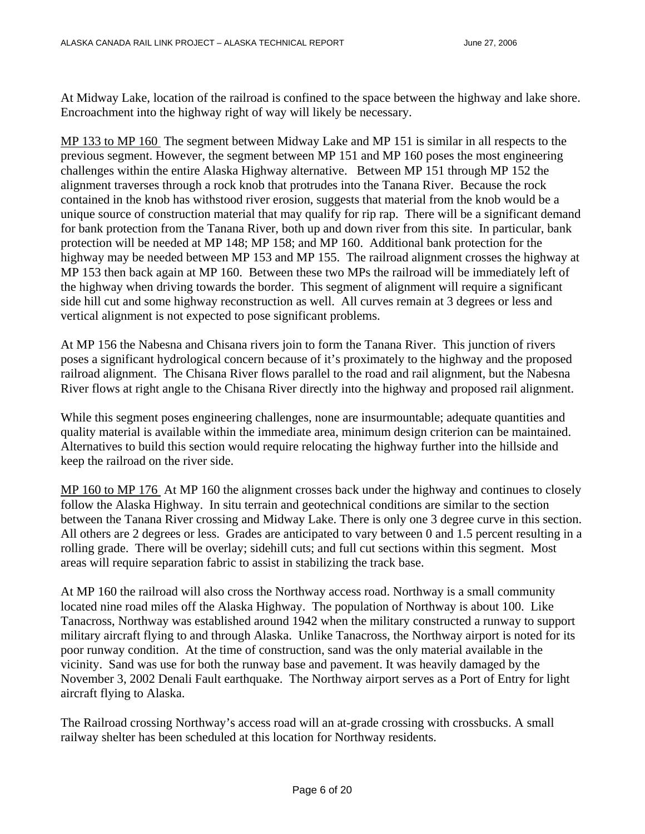At Midway Lake, location of the railroad is confined to the space between the highway and lake shore. Encroachment into the highway right of way will likely be necessary.

MP 133 to MP 160 The segment between Midway Lake and MP 151 is similar in all respects to the previous segment. However, the segment between MP 151 and MP 160 poses the most engineering challenges within the entire Alaska Highway alternative. Between MP 151 through MP 152 the alignment traverses through a rock knob that protrudes into the Tanana River. Because the rock contained in the knob has withstood river erosion, suggests that material from the knob would be a unique source of construction material that may qualify for rip rap. There will be a significant demand for bank protection from the Tanana River, both up and down river from this site. In particular, bank protection will be needed at MP 148; MP 158; and MP 160. Additional bank protection for the highway may be needed between MP 153 and MP 155. The railroad alignment crosses the highway at MP 153 then back again at MP 160. Between these two MPs the railroad will be immediately left of the highway when driving towards the border. This segment of alignment will require a significant side hill cut and some highway reconstruction as well. All curves remain at 3 degrees or less and vertical alignment is not expected to pose significant problems.

At MP 156 the Nabesna and Chisana rivers join to form the Tanana River. This junction of rivers poses a significant hydrological concern because of it's proximately to the highway and the proposed railroad alignment. The Chisana River flows parallel to the road and rail alignment, but the Nabesna River flows at right angle to the Chisana River directly into the highway and proposed rail alignment.

While this segment poses engineering challenges, none are insurmountable; adequate quantities and quality material is available within the immediate area, minimum design criterion can be maintained. Alternatives to build this section would require relocating the highway further into the hillside and keep the railroad on the river side.

MP 160 to MP 176 At MP 160 the alignment crosses back under the highway and continues to closely follow the Alaska Highway. In situ terrain and geotechnical conditions are similar to the section between the Tanana River crossing and Midway Lake. There is only one 3 degree curve in this section. All others are 2 degrees or less. Grades are anticipated to vary between 0 and 1.5 percent resulting in a rolling grade. There will be overlay; sidehill cuts; and full cut sections within this segment. Most areas will require separation fabric to assist in stabilizing the track base.

At MP 160 the railroad will also cross the Northway access road. Northway is a small community located nine road miles off the Alaska Highway. The population of Northway is about 100. Like Tanacross, Northway was established around 1942 when the military constructed a runway to support military aircraft flying to and through Alaska. Unlike Tanacross, the Northway airport is noted for its poor runway condition. At the time of construction, sand was the only material available in the vicinity. Sand was use for both the runway base and pavement. It was heavily damaged by the November 3, 2002 Denali Fault earthquake. The Northway airport serves as a Port of Entry for light aircraft flying to Alaska.

The Railroad crossing Northway's access road will an at-grade crossing with crossbucks. A small railway shelter has been scheduled at this location for Northway residents.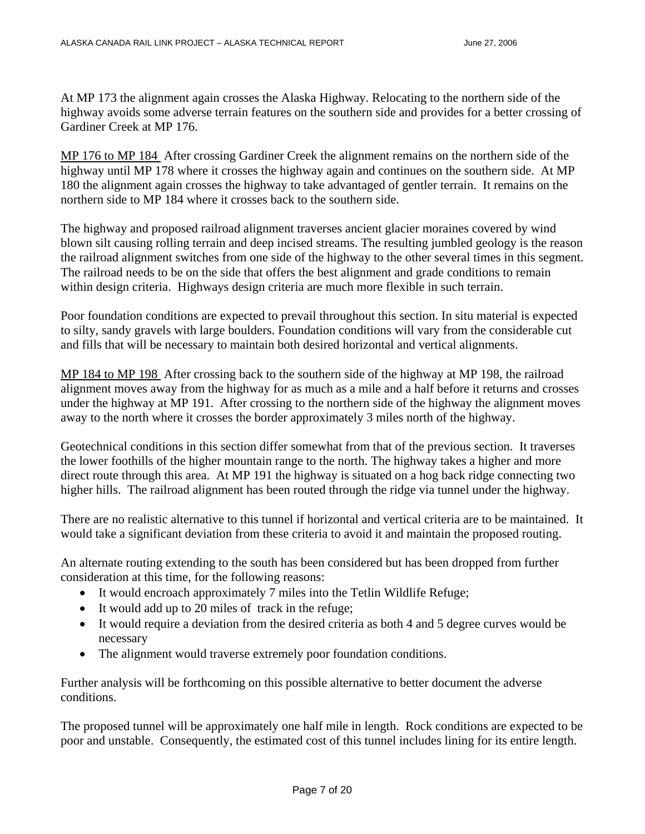At MP 173 the alignment again crosses the Alaska Highway. Relocating to the northern side of the highway avoids some adverse terrain features on the southern side and provides for a better crossing of Gardiner Creek at MP 176.

MP 176 to MP 184 After crossing Gardiner Creek the alignment remains on the northern side of the highway until MP 178 where it crosses the highway again and continues on the southern side. At MP 180 the alignment again crosses the highway to take advantaged of gentler terrain. It remains on the northern side to MP 184 where it crosses back to the southern side.

The highway and proposed railroad alignment traverses ancient glacier moraines covered by wind blown silt causing rolling terrain and deep incised streams. The resulting jumbled geology is the reason the railroad alignment switches from one side of the highway to the other several times in this segment. The railroad needs to be on the side that offers the best alignment and grade conditions to remain within design criteria. Highways design criteria are much more flexible in such terrain.

Poor foundation conditions are expected to prevail throughout this section. In situ material is expected to silty, sandy gravels with large boulders. Foundation conditions will vary from the considerable cut and fills that will be necessary to maintain both desired horizontal and vertical alignments.

MP 184 to MP 198 After crossing back to the southern side of the highway at MP 198, the railroad alignment moves away from the highway for as much as a mile and a half before it returns and crosses under the highway at MP 191. After crossing to the northern side of the highway the alignment moves away to the north where it crosses the border approximately 3 miles north of the highway.

Geotechnical conditions in this section differ somewhat from that of the previous section. It traverses the lower foothills of the higher mountain range to the north. The highway takes a higher and more direct route through this area. At MP 191 the highway is situated on a hog back ridge connecting two higher hills. The railroad alignment has been routed through the ridge via tunnel under the highway.

There are no realistic alternative to this tunnel if horizontal and vertical criteria are to be maintained. It would take a significant deviation from these criteria to avoid it and maintain the proposed routing.

An alternate routing extending to the south has been considered but has been dropped from further consideration at this time, for the following reasons:

- It would encroach approximately 7 miles into the Tetlin Wildlife Refuge;
- It would add up to 20 miles of track in the refuge;
- It would require a deviation from the desired criteria as both 4 and 5 degree curves would be necessary
- The alignment would traverse extremely poor foundation conditions.

Further analysis will be forthcoming on this possible alternative to better document the adverse conditions.

The proposed tunnel will be approximately one half mile in length. Rock conditions are expected to be poor and unstable. Consequently, the estimated cost of this tunnel includes lining for its entire length.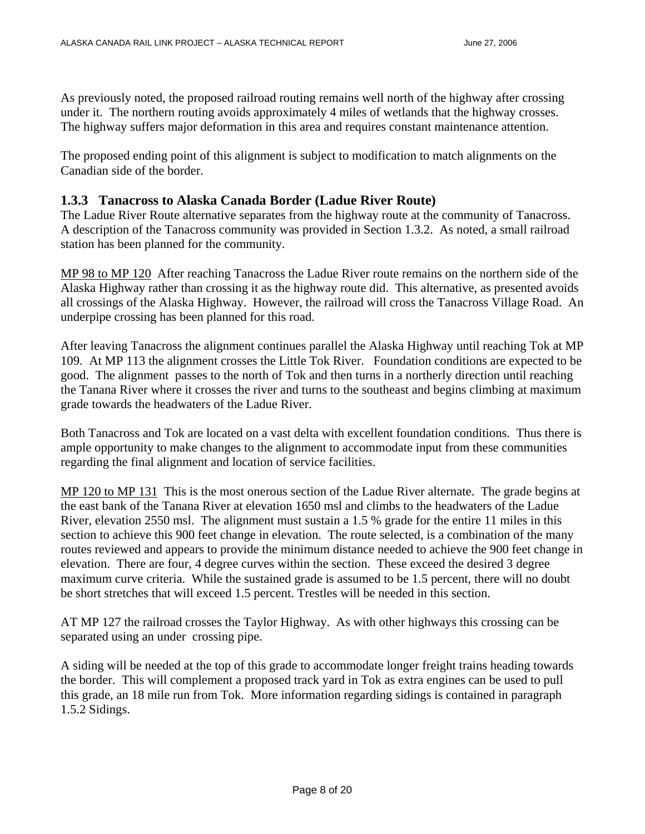As previously noted, the proposed railroad routing remains well north of the highway after crossing under it. The northern routing avoids approximately 4 miles of wetlands that the highway crosses. The highway suffers major deformation in this area and requires constant maintenance attention.

The proposed ending point of this alignment is subject to modification to match alignments on the Canadian side of the border.

#### **1.3.3 Tanacross to Alaska Canada Border (Ladue River Route)**

The Ladue River Route alternative separates from the highway route at the community of Tanacross. A description of the Tanacross community was provided in Section 1.3.2. As noted, a small railroad station has been planned for the community.

MP 98 to MP 120 After reaching Tanacross the Ladue River route remains on the northern side of the Alaska Highway rather than crossing it as the highway route did. This alternative, as presented avoids all crossings of the Alaska Highway. However, the railroad will cross the Tanacross Village Road. An underpipe crossing has been planned for this road.

After leaving Tanacross the alignment continues parallel the Alaska Highway until reaching Tok at MP 109. At MP 113 the alignment crosses the Little Tok River. Foundation conditions are expected to be good. The alignment passes to the north of Tok and then turns in a northerly direction until reaching the Tanana River where it crosses the river and turns to the southeast and begins climbing at maximum grade towards the headwaters of the Ladue River.

Both Tanacross and Tok are located on a vast delta with excellent foundation conditions. Thus there is ample opportunity to make changes to the alignment to accommodate input from these communities regarding the final alignment and location of service facilities.

MP 120 to MP 131 This is the most onerous section of the Ladue River alternate. The grade begins at the east bank of the Tanana River at elevation 1650 msl and climbs to the headwaters of the Ladue River, elevation 2550 msl. The alignment must sustain a 1.5 % grade for the entire 11 miles in this section to achieve this 900 feet change in elevation. The route selected, is a combination of the many routes reviewed and appears to provide the minimum distance needed to achieve the 900 feet change in elevation. There are four, 4 degree curves within the section. These exceed the desired 3 degree maximum curve criteria. While the sustained grade is assumed to be 1.5 percent, there will no doubt be short stretches that will exceed 1.5 percent. Trestles will be needed in this section.

AT MP 127 the railroad crosses the Taylor Highway. As with other highways this crossing can be separated using an under crossing pipe.

A siding will be needed at the top of this grade to accommodate longer freight trains heading towards the border. This will complement a proposed track yard in Tok as extra engines can be used to pull this grade, an 18 mile run from Tok. More information regarding sidings is contained in paragraph 1.5.2 Sidings.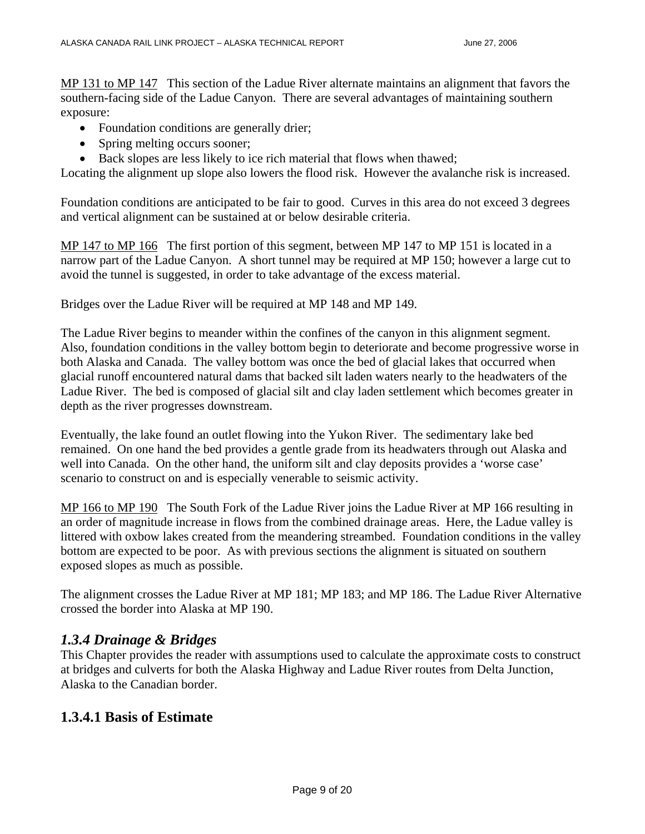MP 131 to MP 147 This section of the Ladue River alternate maintains an alignment that favors the southern-facing side of the Ladue Canyon. There are several advantages of maintaining southern exposure:

- Foundation conditions are generally drier;
- Spring melting occurs sooner;
- Back slopes are less likely to ice rich material that flows when thawed;

Locating the alignment up slope also lowers the flood risk. However the avalanche risk is increased.

Foundation conditions are anticipated to be fair to good. Curves in this area do not exceed 3 degrees and vertical alignment can be sustained at or below desirable criteria.

MP 147 to MP 166 The first portion of this segment, between MP 147 to MP 151 is located in a narrow part of the Ladue Canyon. A short tunnel may be required at MP 150; however a large cut to avoid the tunnel is suggested, in order to take advantage of the excess material.

Bridges over the Ladue River will be required at MP 148 and MP 149.

The Ladue River begins to meander within the confines of the canyon in this alignment segment. Also, foundation conditions in the valley bottom begin to deteriorate and become progressive worse in both Alaska and Canada. The valley bottom was once the bed of glacial lakes that occurred when glacial runoff encountered natural dams that backed silt laden waters nearly to the headwaters of the Ladue River. The bed is composed of glacial silt and clay laden settlement which becomes greater in depth as the river progresses downstream.

Eventually, the lake found an outlet flowing into the Yukon River. The sedimentary lake bed remained. On one hand the bed provides a gentle grade from its headwaters through out Alaska and well into Canada. On the other hand, the uniform silt and clay deposits provides a 'worse case' scenario to construct on and is especially venerable to seismic activity.

MP 166 to MP 190 The South Fork of the Ladue River joins the Ladue River at MP 166 resulting in an order of magnitude increase in flows from the combined drainage areas. Here, the Ladue valley is littered with oxbow lakes created from the meandering streambed. Foundation conditions in the valley bottom are expected to be poor. As with previous sections the alignment is situated on southern exposed slopes as much as possible.

The alignment crosses the Ladue River at MP 181; MP 183; and MP 186. The Ladue River Alternative crossed the border into Alaska at MP 190.

## *1.3.4 Drainage & Bridges*

This Chapter provides the reader with assumptions used to calculate the approximate costs to construct at bridges and culverts for both the Alaska Highway and Ladue River routes from Delta Junction, Alaska to the Canadian border.

## **1.3.4.1 Basis of Estimate**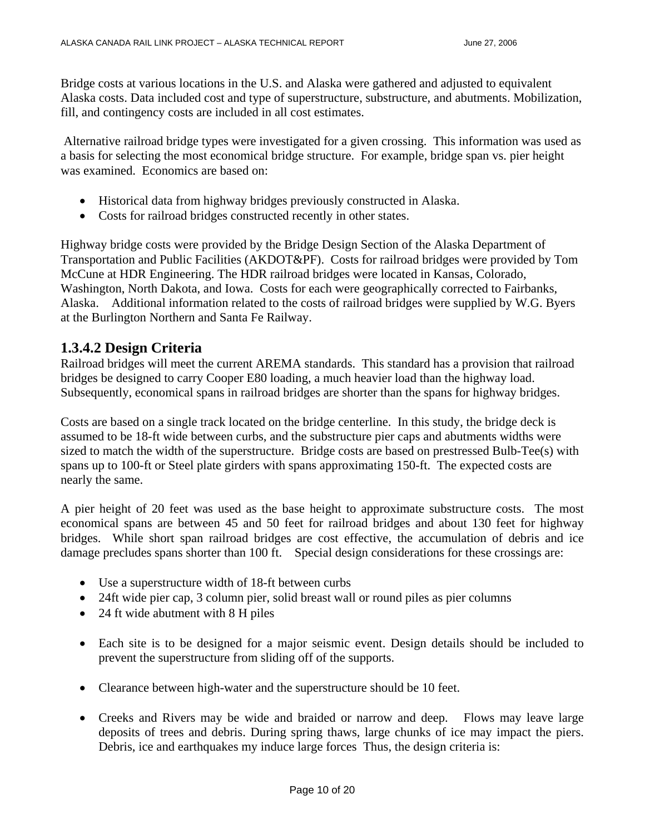Bridge costs at various locations in the U.S. and Alaska were gathered and adjusted to equivalent Alaska costs. Data included cost and type of superstructure, substructure, and abutments. Mobilization, fill, and contingency costs are included in all cost estimates.

 Alternative railroad bridge types were investigated for a given crossing. This information was used as a basis for selecting the most economical bridge structure. For example, bridge span vs. pier height was examined. Economics are based on:

- Historical data from highway bridges previously constructed in Alaska.
- Costs for railroad bridges constructed recently in other states.

Highway bridge costs were provided by the Bridge Design Section of the Alaska Department of Transportation and Public Facilities (AKDOT&PF). Costs for railroad bridges were provided by Tom McCune at HDR Engineering. The HDR railroad bridges were located in Kansas, Colorado, Washington, North Dakota, and Iowa. Costs for each were geographically corrected to Fairbanks, Alaska. Additional information related to the costs of railroad bridges were supplied by W.G. Byers at the Burlington Northern and Santa Fe Railway.

## **1.3.4.2 Design Criteria**

Railroad bridges will meet the current AREMA standards. This standard has a provision that railroad bridges be designed to carry Cooper E80 loading, a much heavier load than the highway load. Subsequently, economical spans in railroad bridges are shorter than the spans for highway bridges.

Costs are based on a single track located on the bridge centerline. In this study, the bridge deck is assumed to be 18-ft wide between curbs, and the substructure pier caps and abutments widths were sized to match the width of the superstructure. Bridge costs are based on prestressed Bulb-Tee(s) with spans up to 100-ft or Steel plate girders with spans approximating 150-ft. The expected costs are nearly the same.

A pier height of 20 feet was used as the base height to approximate substructure costs. The most economical spans are between 45 and 50 feet for railroad bridges and about 130 feet for highway bridges. While short span railroad bridges are cost effective, the accumulation of debris and ice damage precludes spans shorter than 100 ft. Special design considerations for these crossings are:

- Use a superstructure width of 18-ft between curbs
- 24ft wide pier cap, 3 column pier, solid breast wall or round piles as pier columns
- 24 ft wide abutment with 8 H piles
- Each site is to be designed for a major seismic event. Design details should be included to prevent the superstructure from sliding off of the supports.
- Clearance between high-water and the superstructure should be 10 feet.
- Creeks and Rivers may be wide and braided or narrow and deep. Flows may leave large deposits of trees and debris. During spring thaws, large chunks of ice may impact the piers. Debris, ice and earthquakes my induce large forces Thus, the design criteria is: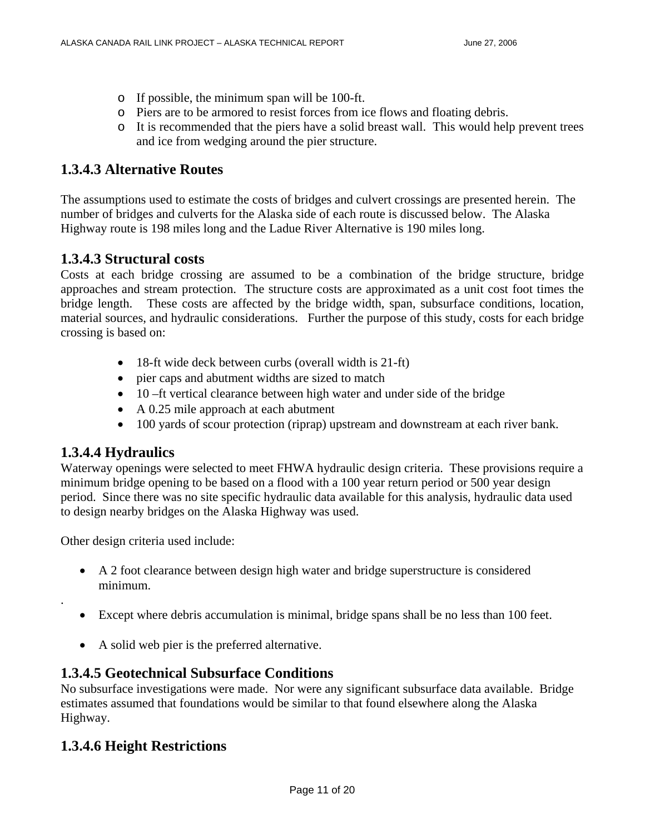- o If possible, the minimum span will be 100-ft.
- o Piers are to be armored to resist forces from ice flows and floating debris.
- o It is recommended that the piers have a solid breast wall. This would help prevent trees and ice from wedging around the pier structure.

## **1.3.4.3 Alternative Routes**

The assumptions used to estimate the costs of bridges and culvert crossings are presented herein. The number of bridges and culverts for the Alaska side of each route is discussed below. The Alaska Highway route is 198 miles long and the Ladue River Alternative is 190 miles long.

## **1.3.4.3 Structural costs**

Costs at each bridge crossing are assumed to be a combination of the bridge structure, bridge approaches and stream protection. The structure costs are approximated as a unit cost foot times the bridge length. These costs are affected by the bridge width, span, subsurface conditions, location, material sources, and hydraulic considerations. Further the purpose of this study, costs for each bridge crossing is based on:

- 18-ft wide deck between curbs (overall width is 21-ft)
- pier caps and abutment widths are sized to match
- 10 –ft vertical clearance between high water and under side of the bridge
- A 0.25 mile approach at each abutment
- 100 yards of scour protection (riprap) upstream and downstream at each river bank.

#### **1.3.4.4 Hydraulics**

.

Waterway openings were selected to meet FHWA hydraulic design criteria. These provisions require a minimum bridge opening to be based on a flood with a 100 year return period or 500 year design period. Since there was no site specific hydraulic data available for this analysis, hydraulic data used to design nearby bridges on the Alaska Highway was used.

Other design criteria used include:

- A 2 foot clearance between design high water and bridge superstructure is considered minimum.
- Except where debris accumulation is minimal, bridge spans shall be no less than 100 feet.
- A solid web pier is the preferred alternative.

## **1.3.4.5 Geotechnical Subsurface Conditions**

No subsurface investigations were made. Nor were any significant subsurface data available. Bridge estimates assumed that foundations would be similar to that found elsewhere along the Alaska Highway.

# **1.3.4.6 Height Restrictions**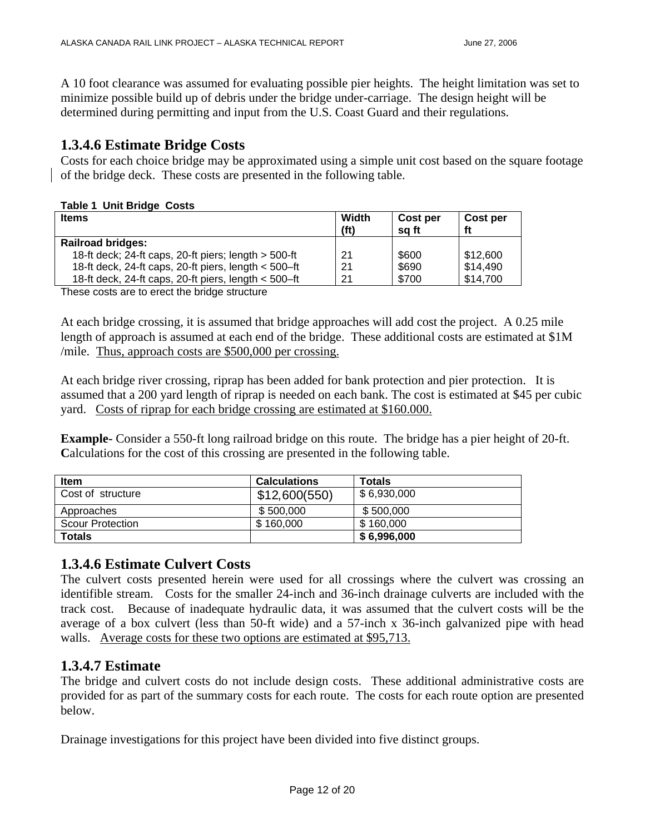A 10 foot clearance was assumed for evaluating possible pier heights. The height limitation was set to minimize possible build up of debris under the bridge under-carriage. The design height will be determined during permitting and input from the U.S. Coast Guard and their regulations.

# **1.3.4.6 Estimate Bridge Costs**

Costs for each choice bridge may be approximated using a simple unit cost based on the square footage of the bridge deck. These costs are presented in the following table.

#### **Table 1 Unit Bridge Costs**

| <b>Items</b>                                           | Width<br>(ft) | Cost per<br>sa ft | Cost per<br>ft |
|--------------------------------------------------------|---------------|-------------------|----------------|
| <b>Railroad bridges:</b>                               |               |                   |                |
| 18-ft deck; 24-ft caps, 20-ft piers; length > 500-ft   | 21            | \$600             | \$12,600       |
| 18-ft deck, 24-ft caps, 20-ft piers, length $<$ 500-ft | 21            | \$690             | \$14,490       |
| 18-ft deck, 24-ft caps, 20-ft piers, length < 500-ft   | 21            | \$700             | \$14,700       |
| These coate are to creat the huides atmostment         |               |                   |                |

These costs are to erect the bridge structure

At each bridge crossing, it is assumed that bridge approaches will add cost the project. A 0.25 mile length of approach is assumed at each end of the bridge. These additional costs are estimated at \$1M /mile. Thus, approach costs are \$500,000 per crossing.

At each bridge river crossing, riprap has been added for bank protection and pier protection. It is assumed that a 200 yard length of riprap is needed on each bank. The cost is estimated at \$45 per cubic yard. Costs of riprap for each bridge crossing are estimated at \$160.000.

**Example-** Consider a 550-ft long railroad bridge on this route. The bridge has a pier height of 20-ft. Calculations for the cost of this crossing are presented in the following table.

| <b>Item</b>             | <b>Calculations</b> | <b>Totals</b> |
|-------------------------|---------------------|---------------|
| Cost of structure       | \$12,600(550)       | \$6,930,000   |
| Approaches              | \$500,000           | \$500,000     |
| <b>Scour Protection</b> | \$160,000           | \$160,000     |
| Totals                  |                     | \$6,996,000   |

# **1.3.4.6 Estimate Culvert Costs**

The culvert costs presented herein were used for all crossings where the culvert was crossing an identifible stream. Costs for the smaller 24-inch and 36-inch drainage culverts are included with the track cost. Because of inadequate hydraulic data, it was assumed that the culvert costs will be the average of a box culvert (less than 50-ft wide) and a 57-inch x 36-inch galvanized pipe with head walls. Average costs for these two options are estimated at \$95,713.

## **1.3.4.7 Estimate**

The bridge and culvert costs do not include design costs. These additional administrative costs are provided for as part of the summary costs for each route. The costs for each route option are presented below.

Drainage investigations for this project have been divided into five distinct groups.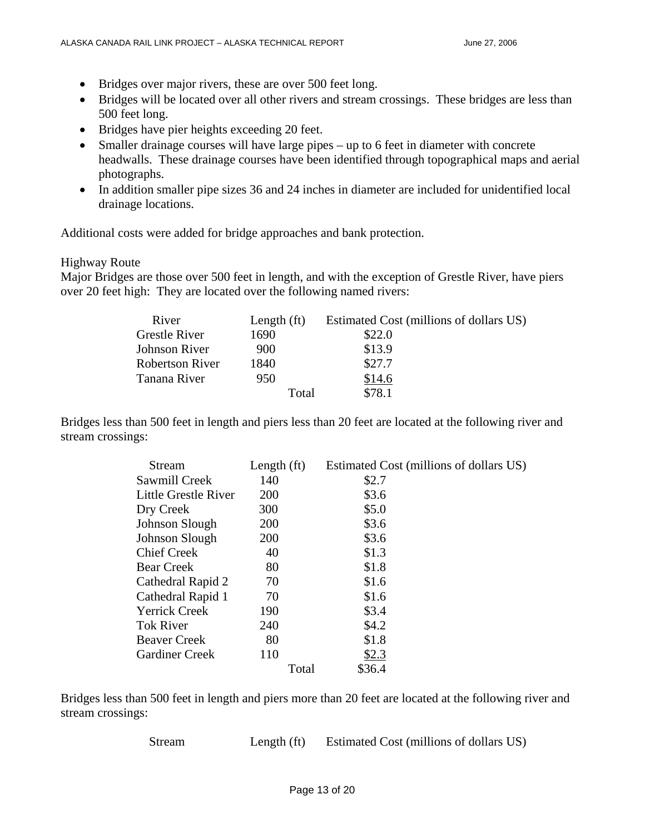- Bridges over major rivers, these are over 500 feet long.
- Bridges will be located over all other rivers and stream crossings. These bridges are less than 500 feet long.
- Bridges have pier heights exceeding 20 feet.
- Smaller drainage courses will have large pipes up to 6 feet in diameter with concrete headwalls. These drainage courses have been identified through topographical maps and aerial photographs.
- In addition smaller pipe sizes 36 and 24 inches in diameter are included for unidentified local drainage locations.

Additional costs were added for bridge approaches and bank protection.

#### Highway Route

Major Bridges are those over 500 feet in length, and with the exception of Grestle River, have piers over 20 feet high: They are located over the following named rivers:

| River                  | Length $(ft)$ | Estimated Cost (millions of dollars US) |
|------------------------|---------------|-----------------------------------------|
| <b>Grestle River</b>   | 1690          | \$22.0                                  |
| Johnson River          | 900           | \$13.9                                  |
| <b>Robertson River</b> | 1840          | \$27.7                                  |
| Tanana River           | 950           | \$14.6                                  |
|                        | Total         | \$78.1                                  |

Bridges less than 500 feet in length and piers less than 20 feet are located at the following river and stream crossings:

| Stream                | Length $(ft)$ |                 | Estimated Cost (millions of dollars US) |
|-----------------------|---------------|-----------------|-----------------------------------------|
| Sawmill Creek         | 140           | \$2.7           |                                         |
| Little Grestle River  | 200           | \$3.6           |                                         |
| Dry Creek             | 300           | \$5.0           |                                         |
| Johnson Slough        | 200           | \$3.6           |                                         |
| Johnson Slough        | <b>200</b>    | \$3.6           |                                         |
| <b>Chief Creek</b>    | 40            | \$1.3           |                                         |
| <b>Bear Creek</b>     | 80            | \$1.8           |                                         |
| Cathedral Rapid 2     | 70            | \$1.6           |                                         |
| Cathedral Rapid 1     | 70            | \$1.6           |                                         |
| <b>Yerrick Creek</b>  | 190           | \$3.4           |                                         |
| <b>Tok River</b>      | 240           | \$4.2           |                                         |
| <b>Beaver Creek</b>   | 80            | \$1.8           |                                         |
| <b>Gardiner Creek</b> | 110           | \$2.3           |                                         |
|                       |               | \$36.4<br>Total |                                         |

Bridges less than 500 feet in length and piers more than 20 feet are located at the following river and stream crossings:

Stream Length (ft) Estimated Cost (millions of dollars US)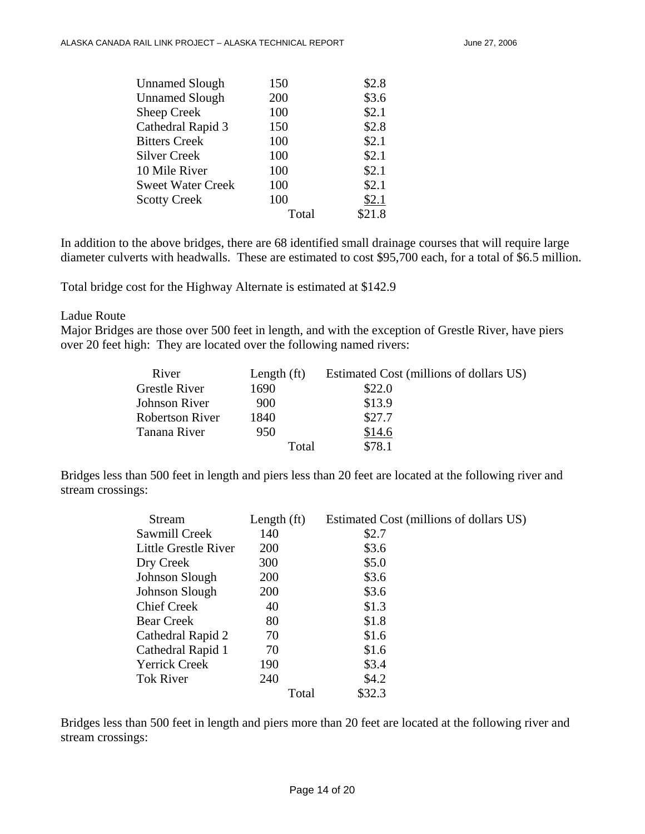| <b>Unnamed Slough</b>    | 150   | \$2.8  |
|--------------------------|-------|--------|
| <b>Unnamed Slough</b>    | 200   | \$3.6  |
| Sheep Creek              | 100   | \$2.1  |
| Cathedral Rapid 3        | 150   | \$2.8  |
| <b>Bitters Creek</b>     | 100   | \$2.1  |
| <b>Silver Creek</b>      | 100   | \$2.1  |
| 10 Mile River            | 100   | \$2.1  |
| <b>Sweet Water Creek</b> | 100   | \$2.1  |
| <b>Scotty Creek</b>      | 100   | \$2.1  |
|                          | Total | \$21.8 |

In addition to the above bridges, there are 68 identified small drainage courses that will require large diameter culverts with headwalls. These are estimated to cost \$95,700 each, for a total of \$6.5 million.

Total bridge cost for the Highway Alternate is estimated at \$142.9

#### Ladue Route

Major Bridges are those over 500 feet in length, and with the exception of Grestle River, have piers over 20 feet high: They are located over the following named rivers:

| River                  | Length $(ft)$ | Estimated Cost (millions of dollars US) |
|------------------------|---------------|-----------------------------------------|
| <b>Grestle River</b>   | 1690          | \$22.0                                  |
| Johnson River          | 900           | \$13.9                                  |
| <b>Robertson River</b> | 1840          | \$27.7                                  |
| Tanana River           | 950           | \$14.6                                  |
|                        | Total         | \$78.1                                  |

Bridges less than 500 feet in length and piers less than 20 feet are located at the following river and stream crossings:

| <b>Stream</b>        | Length (ft) | Estimated Cost (millions of dollars US) |  |
|----------------------|-------------|-----------------------------------------|--|
| Sawmill Creek        | 140         | \$2.7                                   |  |
| Little Grestle River | <b>200</b>  | \$3.6                                   |  |
| Dry Creek            | 300         | \$5.0                                   |  |
| Johnson Slough       | 200         | \$3.6                                   |  |
| Johnson Slough       | <b>200</b>  | \$3.6                                   |  |
| <b>Chief Creek</b>   | 40          | \$1.3                                   |  |
| <b>Bear Creek</b>    | 80          | \$1.8                                   |  |
| Cathedral Rapid 2    | 70          | \$1.6                                   |  |
| Cathedral Rapid 1    | 70          | \$1.6                                   |  |
| Yerrick Creek        | 190         | \$3.4                                   |  |
| <b>Tok River</b>     | 240         | \$4.2\$                                 |  |
|                      | Total       | \$32.3                                  |  |

Bridges less than 500 feet in length and piers more than 20 feet are located at the following river and stream crossings: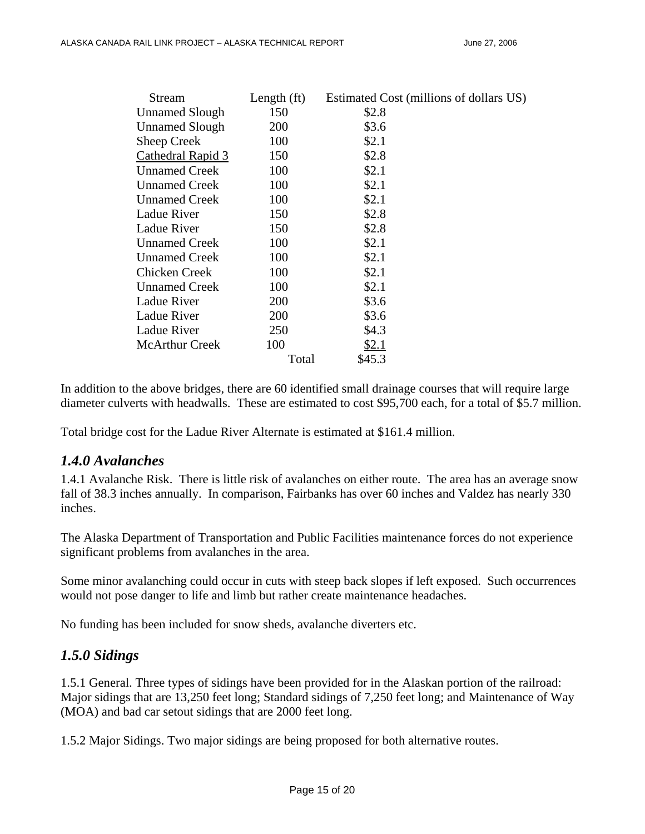| Stream                | Length $(ft)$ | Estimated Cost (millions of dollars US) |
|-----------------------|---------------|-----------------------------------------|
| <b>Unnamed Slough</b> | 150           | \$2.8                                   |
| <b>Unnamed Slough</b> | 200           | \$3.6                                   |
| Sheep Creek           | 100           | \$2.1                                   |
| Cathedral Rapid 3     | 150           | \$2.8                                   |
| <b>Unnamed Creek</b>  | 100           | \$2.1                                   |
| <b>Unnamed Creek</b>  | 100           | \$2.1                                   |
| <b>Unnamed Creek</b>  | 100           | \$2.1                                   |
| <b>Ladue River</b>    | 150           | \$2.8                                   |
| Ladue River           | 150           | \$2.8                                   |
| <b>Unnamed Creek</b>  | 100           | \$2.1                                   |
| <b>Unnamed Creek</b>  | 100           | \$2.1                                   |
| Chicken Creek         | 100           | \$2.1                                   |
| <b>Unnamed Creek</b>  | 100           | \$2.1                                   |
| Ladue River           | 200           | \$3.6                                   |
| Ladue River           | 200           | \$3.6                                   |
| Ladue River           | 250           | \$4.3                                   |
| <b>McArthur Creek</b> | 100           | \$2.1                                   |
|                       | Total         | \$45.3                                  |

In addition to the above bridges, there are 60 identified small drainage courses that will require large diameter culverts with headwalls. These are estimated to cost \$95,700 each, for a total of \$5.7 million.

Total bridge cost for the Ladue River Alternate is estimated at \$161.4 million.

## *1.4.0 Avalanches*

1.4.1 Avalanche Risk. There is little risk of avalanches on either route. The area has an average snow fall of 38.3 inches annually. In comparison, Fairbanks has over 60 inches and Valdez has nearly 330 inches.

The Alaska Department of Transportation and Public Facilities maintenance forces do not experience significant problems from avalanches in the area.

Some minor avalanching could occur in cuts with steep back slopes if left exposed. Such occurrences would not pose danger to life and limb but rather create maintenance headaches.

No funding has been included for snow sheds, avalanche diverters etc.

# *1.5.0 Sidings*

1.5.1 General. Three types of sidings have been provided for in the Alaskan portion of the railroad: Major sidings that are 13,250 feet long; Standard sidings of 7,250 feet long; and Maintenance of Way (MOA) and bad car setout sidings that are 2000 feet long.

1.5.2 Major Sidings. Two major sidings are being proposed for both alternative routes.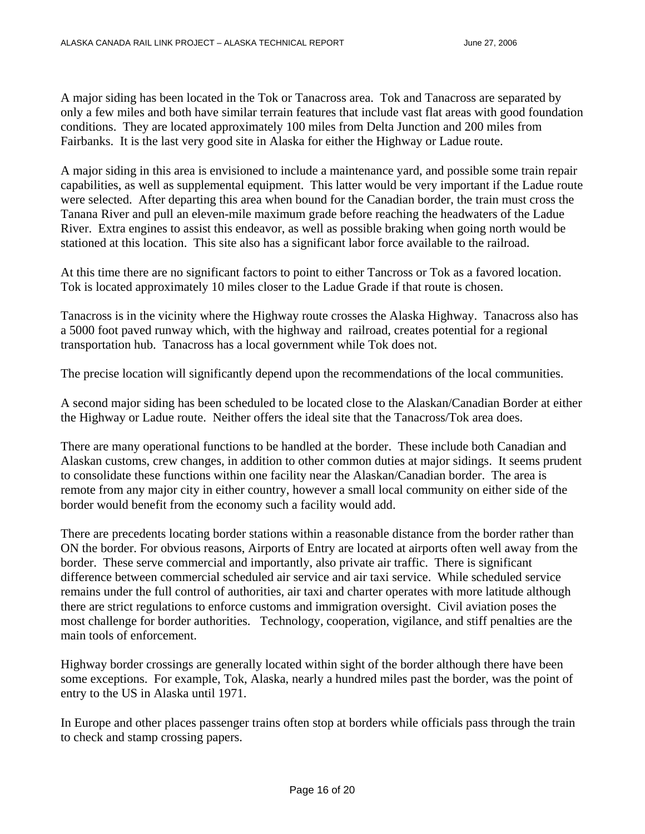A major siding has been located in the Tok or Tanacross area. Tok and Tanacross are separated by only a few miles and both have similar terrain features that include vast flat areas with good foundation conditions. They are located approximately 100 miles from Delta Junction and 200 miles from Fairbanks. It is the last very good site in Alaska for either the Highway or Ladue route.

A major siding in this area is envisioned to include a maintenance yard, and possible some train repair capabilities, as well as supplemental equipment. This latter would be very important if the Ladue route were selected. After departing this area when bound for the Canadian border, the train must cross the Tanana River and pull an eleven-mile maximum grade before reaching the headwaters of the Ladue River. Extra engines to assist this endeavor, as well as possible braking when going north would be stationed at this location. This site also has a significant labor force available to the railroad.

At this time there are no significant factors to point to either Tancross or Tok as a favored location. Tok is located approximately 10 miles closer to the Ladue Grade if that route is chosen.

Tanacross is in the vicinity where the Highway route crosses the Alaska Highway. Tanacross also has a 5000 foot paved runway which, with the highway and railroad, creates potential for a regional transportation hub. Tanacross has a local government while Tok does not.

The precise location will significantly depend upon the recommendations of the local communities.

A second major siding has been scheduled to be located close to the Alaskan/Canadian Border at either the Highway or Ladue route. Neither offers the ideal site that the Tanacross/Tok area does.

There are many operational functions to be handled at the border. These include both Canadian and Alaskan customs, crew changes, in addition to other common duties at major sidings. It seems prudent to consolidate these functions within one facility near the Alaskan/Canadian border. The area is remote from any major city in either country, however a small local community on either side of the border would benefit from the economy such a facility would add.

There are precedents locating border stations within a reasonable distance from the border rather than ON the border. For obvious reasons, Airports of Entry are located at airports often well away from the border. These serve commercial and importantly, also private air traffic. There is significant difference between commercial scheduled air service and air taxi service. While scheduled service remains under the full control of authorities, air taxi and charter operates with more latitude although there are strict regulations to enforce customs and immigration oversight. Civil aviation poses the most challenge for border authorities. Technology, cooperation, vigilance, and stiff penalties are the main tools of enforcement.

Highway border crossings are generally located within sight of the border although there have been some exceptions. For example, Tok, Alaska, nearly a hundred miles past the border, was the point of entry to the US in Alaska until 1971.

In Europe and other places passenger trains often stop at borders while officials pass through the train to check and stamp crossing papers.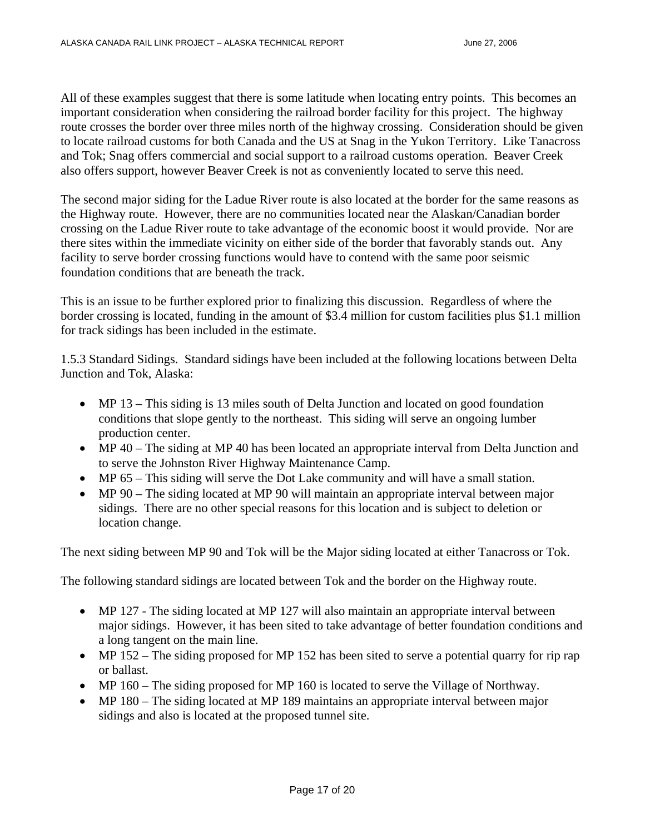All of these examples suggest that there is some latitude when locating entry points. This becomes an important consideration when considering the railroad border facility for this project. The highway route crosses the border over three miles north of the highway crossing. Consideration should be given to locate railroad customs for both Canada and the US at Snag in the Yukon Territory. Like Tanacross and Tok; Snag offers commercial and social support to a railroad customs operation. Beaver Creek also offers support, however Beaver Creek is not as conveniently located to serve this need.

The second major siding for the Ladue River route is also located at the border for the same reasons as the Highway route. However, there are no communities located near the Alaskan/Canadian border crossing on the Ladue River route to take advantage of the economic boost it would provide. Nor are there sites within the immediate vicinity on either side of the border that favorably stands out. Any facility to serve border crossing functions would have to contend with the same poor seismic foundation conditions that are beneath the track.

This is an issue to be further explored prior to finalizing this discussion. Regardless of where the border crossing is located, funding in the amount of \$3.4 million for custom facilities plus \$1.1 million for track sidings has been included in the estimate.

1.5.3 Standard Sidings. Standard sidings have been included at the following locations between Delta Junction and Tok, Alaska:

- MP 13 This siding is 13 miles south of Delta Junction and located on good foundation conditions that slope gently to the northeast. This siding will serve an ongoing lumber production center.
- MP 40 The siding at MP 40 has been located an appropriate interval from Delta Junction and to serve the Johnston River Highway Maintenance Camp.
- MP 65 This siding will serve the Dot Lake community and will have a small station.
- MP 90 The siding located at MP 90 will maintain an appropriate interval between major sidings. There are no other special reasons for this location and is subject to deletion or location change.

The next siding between MP 90 and Tok will be the Major siding located at either Tanacross or Tok.

The following standard sidings are located between Tok and the border on the Highway route.

- MP 127 The siding located at MP 127 will also maintain an appropriate interval between major sidings. However, it has been sited to take advantage of better foundation conditions and a long tangent on the main line.
- MP 152 The siding proposed for MP 152 has been sited to serve a potential quarry for rip rap or ballast.
- MP 160 The siding proposed for MP 160 is located to serve the Village of Northway.
- MP 180 The siding located at MP 189 maintains an appropriate interval between major sidings and also is located at the proposed tunnel site.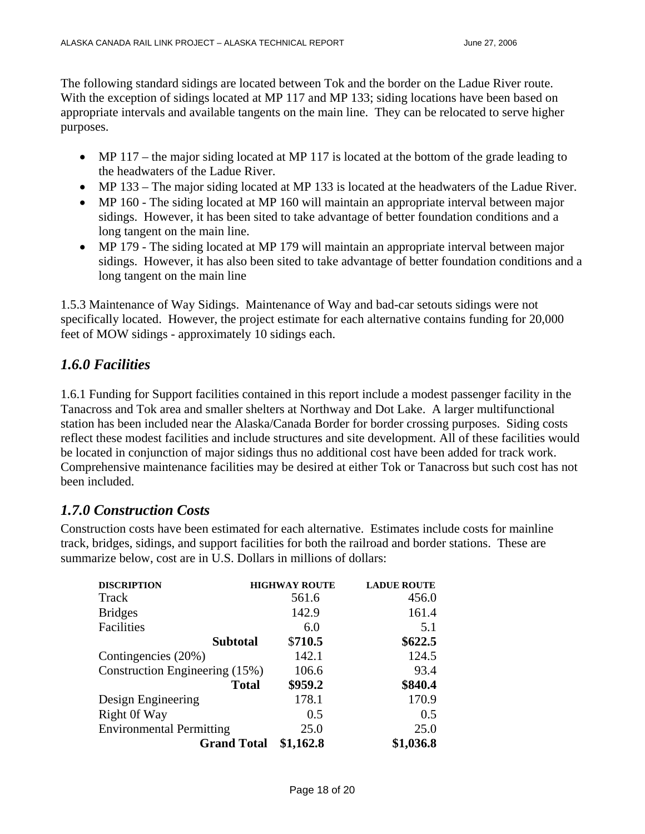The following standard sidings are located between Tok and the border on the Ladue River route. With the exception of sidings located at MP 117 and MP 133; siding locations have been based on appropriate intervals and available tangents on the main line. They can be relocated to serve higher purposes.

- MP 117 the major siding located at MP 117 is located at the bottom of the grade leading to the headwaters of the Ladue River.
- MP 133 The major siding located at MP 133 is located at the headwaters of the Ladue River.
- MP 160 The siding located at MP 160 will maintain an appropriate interval between major sidings. However, it has been sited to take advantage of better foundation conditions and a long tangent on the main line.
- MP 179 The siding located at MP 179 will maintain an appropriate interval between major sidings. However, it has also been sited to take advantage of better foundation conditions and a long tangent on the main line

1.5.3 Maintenance of Way Sidings. Maintenance of Way and bad-car setouts sidings were not specifically located. However, the project estimate for each alternative contains funding for 20,000 feet of MOW sidings - approximately 10 sidings each.

# *1.6.0 Facilities*

1.6.1 Funding for Support facilities contained in this report include a modest passenger facility in the Tanacross and Tok area and smaller shelters at Northway and Dot Lake. A larger multifunctional station has been included near the Alaska/Canada Border for border crossing purposes. Siding costs reflect these modest facilities and include structures and site development. All of these facilities would be located in conjunction of major sidings thus no additional cost have been added for track work. Comprehensive maintenance facilities may be desired at either Tok or Tanacross but such cost has not been included.

# *1.7.0 Construction Costs*

Construction costs have been estimated for each alternative. Estimates include costs for mainline track, bridges, sidings, and support facilities for both the railroad and border stations. These are summarize below, cost are in U.S. Dollars in millions of dollars:

| <b>DISCRIPTION</b>              | <b>HIGHWAY ROUTE</b> | <b>LADUE ROUTE</b> |
|---------------------------------|----------------------|--------------------|
| Track                           | 561.6                | 456.0              |
| <b>Bridges</b>                  | 142.9                | 161.4              |
| Facilities                      | 6.0                  | 5.1                |
| <b>Subtotal</b>                 | \$710.5              | \$622.5            |
| Contingencies (20%)             | 142.1                | 124.5              |
| Construction Engineering (15%)  | 106.6                | 93.4               |
| <b>Total</b>                    | \$959.2              | \$840.4            |
| Design Engineering              | 178.1                | 170.9              |
| Right Of Way                    | 0.5                  | 0.5                |
| <b>Environmental Permitting</b> | 25.0                 | 25.0               |
| <b>Grand Total</b>              | \$1,162.8            | \$1,036.8          |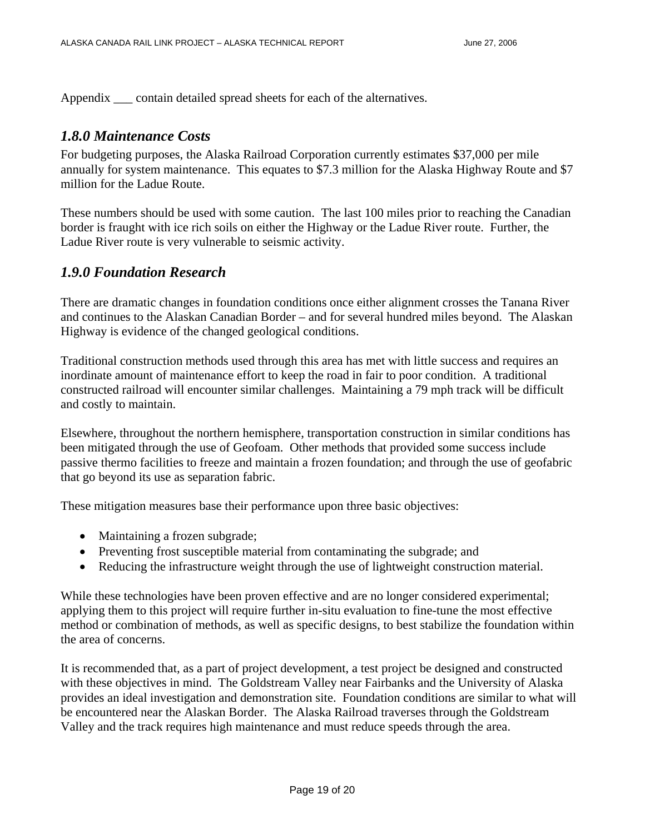Appendix \_\_\_ contain detailed spread sheets for each of the alternatives.

#### *1.8.0 Maintenance Costs*

For budgeting purposes, the Alaska Railroad Corporation currently estimates \$37,000 per mile annually for system maintenance. This equates to \$7.3 million for the Alaska Highway Route and \$7 million for the Ladue Route.

These numbers should be used with some caution. The last 100 miles prior to reaching the Canadian border is fraught with ice rich soils on either the Highway or the Ladue River route. Further, the Ladue River route is very vulnerable to seismic activity.

## *1.9.0 Foundation Research*

There are dramatic changes in foundation conditions once either alignment crosses the Tanana River and continues to the Alaskan Canadian Border – and for several hundred miles beyond. The Alaskan Highway is evidence of the changed geological conditions.

Traditional construction methods used through this area has met with little success and requires an inordinate amount of maintenance effort to keep the road in fair to poor condition. A traditional constructed railroad will encounter similar challenges. Maintaining a 79 mph track will be difficult and costly to maintain.

Elsewhere, throughout the northern hemisphere, transportation construction in similar conditions has been mitigated through the use of Geofoam. Other methods that provided some success include passive thermo facilities to freeze and maintain a frozen foundation; and through the use of geofabric that go beyond its use as separation fabric.

These mitigation measures base their performance upon three basic objectives:

- Maintaining a frozen subgrade;
- Preventing frost susceptible material from contaminating the subgrade; and
- Reducing the infrastructure weight through the use of lightweight construction material.

While these technologies have been proven effective and are no longer considered experimental; applying them to this project will require further in-situ evaluation to fine-tune the most effective method or combination of methods, as well as specific designs, to best stabilize the foundation within the area of concerns.

It is recommended that, as a part of project development, a test project be designed and constructed with these objectives in mind. The Goldstream Valley near Fairbanks and the University of Alaska provides an ideal investigation and demonstration site. Foundation conditions are similar to what will be encountered near the Alaskan Border. The Alaska Railroad traverses through the Goldstream Valley and the track requires high maintenance and must reduce speeds through the area.